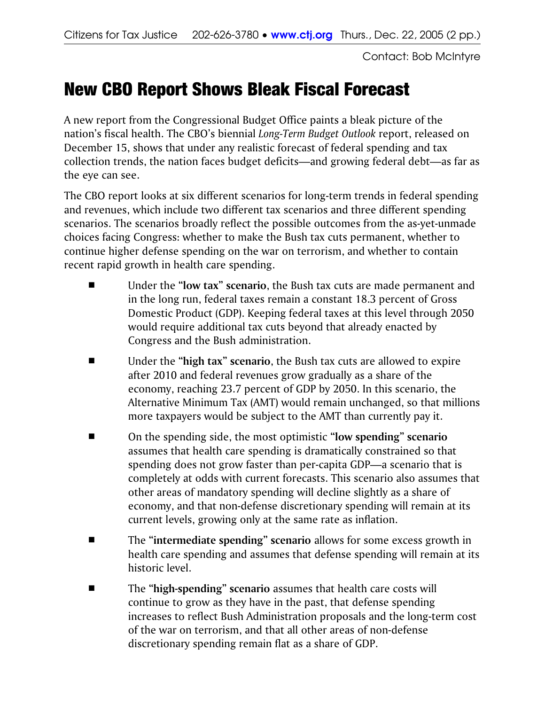Contact: Bob McIntyre

## New CBO Report Shows Bleak Fiscal Forecast

A new report from the Congressional Budget Office paints a bleak picture of the nation's fiscal health. The CBO's biennial *Long-Term Budget Outlook* report, released on December 15, shows that under any realistic forecast of federal spending and tax collection trends, the nation faces budget deficits—and growing federal debt—as far as the eye can see.

The CBO report looks at six different scenarios for long-term trends in federal spending and revenues, which include two different tax scenarios and three different spending scenarios. The scenarios broadly reflect the possible outcomes from the as-yet-unmade choices facing Congress: whether to make the Bush tax cuts permanent, whether to continue higher defense spending on the war on terrorism, and whether to contain recent rapid growth in health care spending.

- Under the "low tax" scenario, the Bush tax cuts are made permanent and in the long run, federal taxes remain a constant 18.3 percent of Gross Domestic Product (GDP). Keeping federal taxes at this level through 2050 would require additional tax cuts beyond that already enacted by Congress and the Bush administration.
- Under the "high tax" scenario, the Bush tax cuts are allowed to expire after 2010 and federal revenues grow gradually as a share of the economy, reaching 23.7 percent of GDP by 2050. In this scenario, the Alternative Minimum Tax (AMT) would remain unchanged, so that millions more taxpayers would be subject to the AMT than currently pay it.
- On the spending side, the most optimistic "low spending" scenario assumes that health care spending is dramatically constrained so that spending does not grow faster than per-capita GDP—a scenario that is completely at odds with current forecasts. This scenario also assumes that other areas of mandatory spending will decline slightly as a share of economy, and that non-defense discretionary spending will remain at its current levels, growing only at the same rate as inflation.
- The "intermediate spending" scenario allows for some excess growth in health care spending and assumes that defense spending will remain at its historic level.
- **Example 3 The "high-spending" scenario** assumes that health care costs will continue to grow as they have in the past, that defense spending increases to reflect Bush Administration proposals and the long-term cost of the war on terrorism, and that all other areas of non-defense discretionary spending remain flat as a share of GDP.